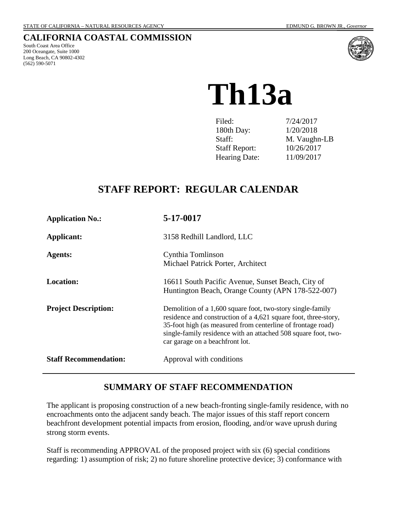## **CALIFORNIA COASTAL COMMISSION**

South Coast Area Office 200 Oceangate, Suite 1000 Long Beach, CA 90802-4302 (562) 590-5071



**Th13a**

| Filed:               | 7/24/2017    |
|----------------------|--------------|
| 180th Day:           | 1/20/2018    |
| Staff:               | M. Vaughn-LB |
| <b>Staff Report:</b> | 10/26/2017   |
| <b>Hearing Date:</b> | 11/09/2017   |

## **STAFF REPORT: REGULAR CALENDAR**

| <b>Application No.:</b>      | 5-17-0017                                                                                                                                                                                                                                                                                         |  |
|------------------------------|---------------------------------------------------------------------------------------------------------------------------------------------------------------------------------------------------------------------------------------------------------------------------------------------------|--|
| Applicant:                   | 3158 Redhill Landlord, LLC                                                                                                                                                                                                                                                                        |  |
| <b>Agents:</b>               | Cynthia Tomlinson<br>Michael Patrick Porter, Architect                                                                                                                                                                                                                                            |  |
| <b>Location:</b>             | 16611 South Pacific Avenue, Sunset Beach, City of<br>Huntington Beach, Orange County (APN 178-522-007)                                                                                                                                                                                            |  |
| <b>Project Description:</b>  | Demolition of a 1,600 square foot, two-story single-family<br>residence and construction of a 4,621 square foot, three-story,<br>35-foot high (as measured from centerline of frontage road)<br>single-family residence with an attached 508 square foot, two-<br>car garage on a beachfront lot. |  |
| <b>Staff Recommendation:</b> | Approval with conditions                                                                                                                                                                                                                                                                          |  |

## **SUMMARY OF STAFF RECOMMENDATION**

The applicant is proposing construction of a new beach-fronting single-family residence, with no encroachments onto the adjacent sandy beach. The major issues of this staff report concern beachfront development potential impacts from erosion, flooding, and/or wave uprush during strong storm events.

Staff is recommending APPROVAL of the proposed project with six (6) special conditions regarding: 1) assumption of risk; 2) no future shoreline protective device; 3) conformance with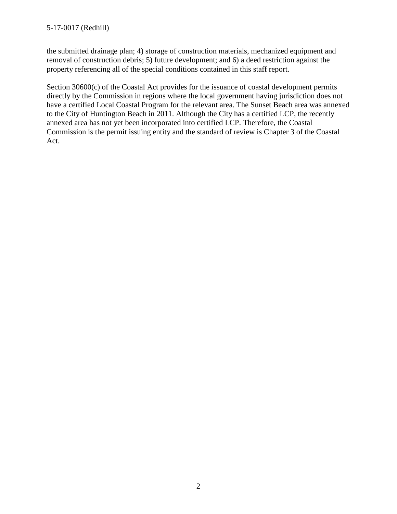the submitted drainage plan; 4) storage of construction materials, mechanized equipment and removal of construction debris; 5) future development; and 6) a deed restriction against the property referencing all of the special conditions contained in this staff report.

Section 30600(c) of the Coastal Act provides for the issuance of coastal development permits directly by the Commission in regions where the local government having jurisdiction does not have a certified Local Coastal Program for the relevant area. The Sunset Beach area was annexed to the City of Huntington Beach in 2011. Although the City has a certified LCP, the recently annexed area has not yet been incorporated into certified LCP. Therefore, the Coastal Commission is the permit issuing entity and the standard of review is Chapter 3 of the Coastal Act.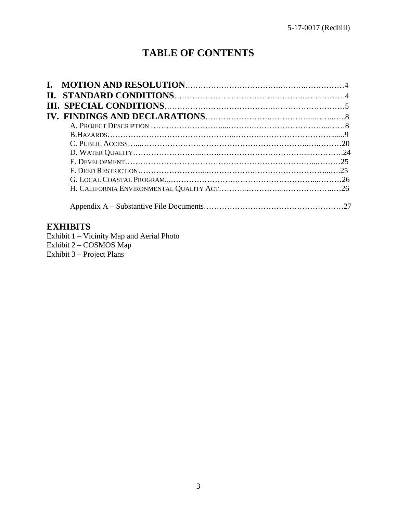# **TABLE OF CONTENTS**

## **EXHIBITS**

Exhibit 1 – Vicinity Map and Aerial Photo Exhibit 2 – COSMOS Map Exhibit 3 – Project Plans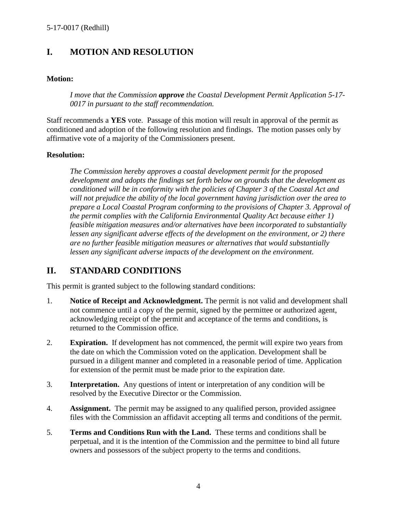## **I. MOTION AND RESOLUTION**

### **Motion:**

*I move that the Commission approve the Coastal Development Permit Application 5-17- 0017 in pursuant to the staff recommendation.*

Staff recommends a **YES** vote. Passage of this motion will result in approval of the permit as conditioned and adoption of the following resolution and findings. The motion passes only by affirmative vote of a majority of the Commissioners present.

### **Resolution:**

*The Commission hereby approves a coastal development permit for the proposed development and adopts the findings set forth below on grounds that the development as conditioned will be in conformity with the policies of Chapter 3 of the Coastal Act and will not prejudice the ability of the local government having jurisdiction over the area to prepare a Local Coastal Program conforming to the provisions of Chapter 3. Approval of the permit complies with the California Environmental Quality Act because either 1) feasible mitigation measures and/or alternatives have been incorporated to substantially lessen any significant adverse effects of the development on the environment, or 2) there are no further feasible mitigation measures or alternatives that would substantially lessen any significant adverse impacts of the development on the environment.*

## **II. STANDARD CONDITIONS**

This permit is granted subject to the following standard conditions:

- 1. **Notice of Receipt and Acknowledgment.** The permit is not valid and development shall not commence until a copy of the permit, signed by the permittee or authorized agent, acknowledging receipt of the permit and acceptance of the terms and conditions, is returned to the Commission office.
- 2. **Expiration.** If development has not commenced, the permit will expire two years from the date on which the Commission voted on the application. Development shall be pursued in a diligent manner and completed in a reasonable period of time. Application for extension of the permit must be made prior to the expiration date.
- 3. **Interpretation.** Any questions of intent or interpretation of any condition will be resolved by the Executive Director or the Commission.
- 4. **Assignment.** The permit may be assigned to any qualified person, provided assignee files with the Commission an affidavit accepting all terms and conditions of the permit.
- 5. **Terms and Conditions Run with the Land.** These terms and conditions shall be perpetual, and it is the intention of the Commission and the permittee to bind all future owners and possessors of the subject property to the terms and conditions.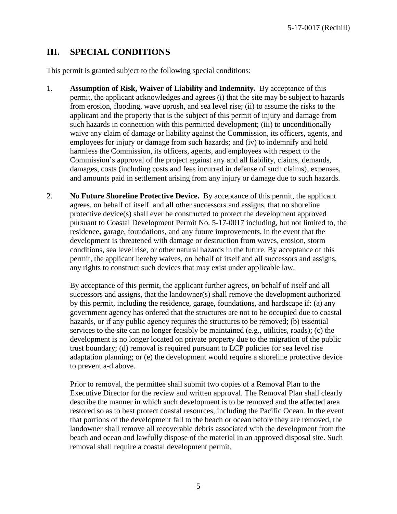## **III. SPECIAL CONDITIONS**

This permit is granted subject to the following special conditions:

- 1. **Assumption of Risk, Waiver of Liability and Indemnity.** By acceptance of this permit, the applicant acknowledges and agrees (i) that the site may be subject to hazards from erosion, flooding, wave uprush, and sea level rise; (ii) to assume the risks to the applicant and the property that is the subject of this permit of injury and damage from such hazards in connection with this permitted development; (iii) to unconditionally waive any claim of damage or liability against the Commission, its officers, agents, and employees for injury or damage from such hazards; and (iv) to indemnify and hold harmless the Commission, its officers, agents, and employees with respect to the Commission's approval of the project against any and all liability, claims, demands, damages, costs (including costs and fees incurred in defense of such claims), expenses, and amounts paid in settlement arising from any injury or damage due to such hazards.
- 2. **No Future Shoreline Protective Device.** By acceptance of this permit, the applicant agrees, on behalf of itself and all other successors and assigns, that no shoreline protective device(s) shall ever be constructed to protect the development approved pursuant to Coastal Development Permit No. 5-17-0017 including, but not limited to, the residence, garage, foundations, and any future improvements, in the event that the development is threatened with damage or destruction from waves, erosion, storm conditions, sea level rise, or other natural hazards in the future. By acceptance of this permit, the applicant hereby waives, on behalf of itself and all successors and assigns, any rights to construct such devices that may exist under applicable law.

By acceptance of this permit, the applicant further agrees, on behalf of itself and all successors and assigns, that the landowner(s) shall remove the development authorized by this permit, including the residence, garage, foundations, and hardscape if: (a) any government agency has ordered that the structures are not to be occupied due to coastal hazards, or if any public agency requires the structures to be removed; (b) essential services to the site can no longer feasibly be maintained (e.g., utilities, roads); (c) the development is no longer located on private property due to the migration of the public trust boundary; (d) removal is required pursuant to LCP policies for sea level rise adaptation planning; or (e) the development would require a shoreline protective device to prevent a-d above.

Prior to removal, the permittee shall submit two copies of a Removal Plan to the Executive Director for the review and written approval. The Removal Plan shall clearly describe the manner in which such development is to be removed and the affected area restored so as to best protect coastal resources, including the Pacific Ocean. In the event that portions of the development fall to the beach or ocean before they are removed, the landowner shall remove all recoverable debris associated with the development from the beach and ocean and lawfully dispose of the material in an approved disposal site. Such removal shall require a coastal development permit.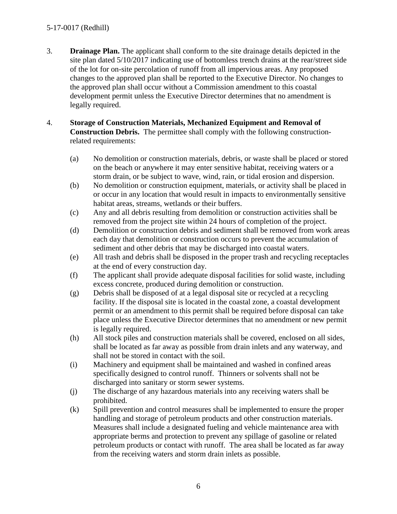## 5-17-0017 (Redhill)

- 3. **Drainage Plan.** The applicant shall conform to the site drainage details depicted in the site plan dated 5/10/2017 indicating use of bottomless trench drains at the rear/street side of the lot for on-site percolation of runoff from all impervious areas. Any proposed changes to the approved plan shall be reported to the Executive Director. No changes to the approved plan shall occur without a Commission amendment to this coastal development permit unless the Executive Director determines that no amendment is legally required.
- 4. **Storage of Construction Materials, Mechanized Equipment and Removal of Construction Debris.** The permittee shall comply with the following constructionrelated requirements:
	- (a) No demolition or construction materials, debris, or waste shall be placed or stored on the beach or anywhere it may enter sensitive habitat, receiving waters or a storm drain, or be subject to wave, wind, rain, or tidal erosion and dispersion.
	- (b) No demolition or construction equipment, materials, or activity shall be placed in or occur in any location that would result in impacts to environmentally sensitive habitat areas, streams, wetlands or their buffers.
	- (c) Any and all debris resulting from demolition or construction activities shall be removed from the project site within 24 hours of completion of the project.
	- (d) Demolition or construction debris and sediment shall be removed from work areas each day that demolition or construction occurs to prevent the accumulation of sediment and other debris that may be discharged into coastal waters.
	- (e) All trash and debris shall be disposed in the proper trash and recycling receptacles at the end of every construction day.
	- (f) The applicant shall provide adequate disposal facilities for solid waste, including excess concrete, produced during demolition or construction.
	- (g) Debris shall be disposed of at a legal disposal site or recycled at a recycling facility. If the disposal site is located in the coastal zone, a coastal development permit or an amendment to this permit shall be required before disposal can take place unless the Executive Director determines that no amendment or new permit is legally required.
	- (h) All stock piles and construction materials shall be covered, enclosed on all sides, shall be located as far away as possible from drain inlets and any waterway, and shall not be stored in contact with the soil.
	- (i) Machinery and equipment shall be maintained and washed in confined areas specifically designed to control runoff. Thinners or solvents shall not be discharged into sanitary or storm sewer systems.
	- (j) The discharge of any hazardous materials into any receiving waters shall be prohibited.
	- (k) Spill prevention and control measures shall be implemented to ensure the proper handling and storage of petroleum products and other construction materials. Measures shall include a designated fueling and vehicle maintenance area with appropriate berms and protection to prevent any spillage of gasoline or related petroleum products or contact with runoff. The area shall be located as far away from the receiving waters and storm drain inlets as possible.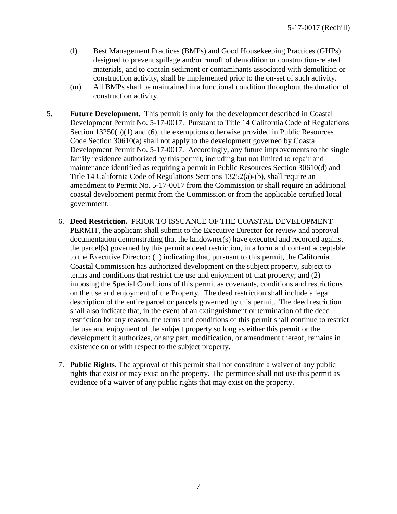- (l) Best Management Practices (BMPs) and Good Housekeeping Practices (GHPs) designed to prevent spillage and/or runoff of demolition or construction-related materials, and to contain sediment or contaminants associated with demolition or construction activity, shall be implemented prior to the on-set of such activity.
- (m) All BMPs shall be maintained in a functional condition throughout the duration of construction activity.
- 5. **Future Development.** This permit is only for the development described in Coastal Development Permit No. 5-17-0017. Pursuant to Title 14 California Code of Regulations Section 13250(b)(1) and (6), the exemptions otherwise provided in Public Resources Code Section 30610(a) shall not apply to the development governed by Coastal Development Permit No. 5-17-0017. Accordingly, any future improvements to the single family residence authorized by this permit, including but not limited to repair and maintenance identified as requiring a permit in Public Resources Section 30610(d) and Title 14 California Code of Regulations Sections 13252(a)-(b), shall require an amendment to Permit No. 5-17-0017 from the Commission or shall require an additional coastal development permit from the Commission or from the applicable certified local government.
	- 6. **Deed Restriction.** PRIOR TO ISSUANCE OF THE COASTAL DEVELOPMENT PERMIT, the applicant shall submit to the Executive Director for review and approval documentation demonstrating that the landowner(s) have executed and recorded against the parcel(s) governed by this permit a deed restriction, in a form and content acceptable to the Executive Director: (1) indicating that, pursuant to this permit, the California Coastal Commission has authorized development on the subject property, subject to terms and conditions that restrict the use and enjoyment of that property; and (2) imposing the Special Conditions of this permit as covenants, conditions and restrictions on the use and enjoyment of the Property. The deed restriction shall include a legal description of the entire parcel or parcels governed by this permit. The deed restriction shall also indicate that, in the event of an extinguishment or termination of the deed restriction for any reason, the terms and conditions of this permit shall continue to restrict the use and enjoyment of the subject property so long as either this permit or the development it authorizes, or any part, modification, or amendment thereof, remains in existence on or with respect to the subject property.
	- 7. **Public Rights.** The approval of this permit shall not constitute a waiver of any public rights that exist or may exist on the property. The permittee shall not use this permit as evidence of a waiver of any public rights that may exist on the property.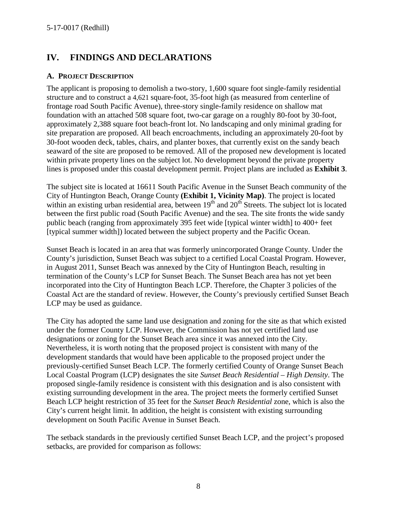## **IV. FINDINGS AND DECLARATIONS**

### **A. PROJECT DESCRIPTION**

The applicant is proposing to demolish a two-story, 1,600 square foot single-family residential structure and to construct a 4,621 square-foot, 35-foot high (as measured from centerline of frontage road South Pacific Avenue), three-story single-family residence on shallow mat foundation with an attached 508 square foot, two-car garage on a roughly 80-foot by 30-foot, approximately 2,388 square foot beach-front lot. No landscaping and only minimal grading for site preparation are proposed. All beach encroachments, including an approximately 20-foot by 30-foot wooden deck, tables, chairs, and planter boxes, that currently exist on the sandy beach seaward of the site are proposed to be removed. All of the proposed new development is located within private property lines on the subject lot. No development beyond the private property lines is proposed under this coastal development permit. Project plans are included as **Exhibit 3**.

The subject site is located at 16611 South Pacific Avenue in the Sunset Beach community of the City of Huntington Beach, Orange County **(Exhibit 1, Vicinity Map)**. The project is located within an existing urban residential area, between  $19<sup>th</sup>$  and  $20<sup>th</sup>$  Streets. The subject lot is located between the first public road (South Pacific Avenue) and the sea. The site fronts the wide sandy public beach (ranging from approximately 395 feet wide [typical winter width] to 400+ feet [typical summer width]) located between the subject property and the Pacific Ocean.

Sunset Beach is located in an area that was formerly unincorporated Orange County. Under the County's jurisdiction, Sunset Beach was subject to a certified Local Coastal Program. However, in August 2011, Sunset Beach was annexed by the City of Huntington Beach, resulting in termination of the County's LCP for Sunset Beach. The Sunset Beach area has not yet been incorporated into the City of Huntington Beach LCP. Therefore, the Chapter 3 policies of the Coastal Act are the standard of review. However, the County's previously certified Sunset Beach LCP may be used as guidance.

The City has adopted the same land use designation and zoning for the site as that which existed under the former County LCP. However, the Commission has not yet certified land use designations or zoning for the Sunset Beach area since it was annexed into the City. Nevertheless, it is worth noting that the proposed project is consistent with many of the development standards that would have been applicable to the proposed project under the previously-certified Sunset Beach LCP. The formerly certified County of Orange Sunset Beach Local Coastal Program (LCP) designates the site *Sunset Beach Residential – High Density*. The proposed single-family residence is consistent with this designation and is also consistent with existing surrounding development in the area. The project meets the formerly certified Sunset Beach LCP height restriction of 35 feet for the *Sunset Beach Residential* zone, which is also the City's current height limit. In addition, the height is consistent with existing surrounding development on South Pacific Avenue in Sunset Beach.

The setback standards in the previously certified Sunset Beach LCP, and the project's proposed setbacks, are provided for comparison as follows: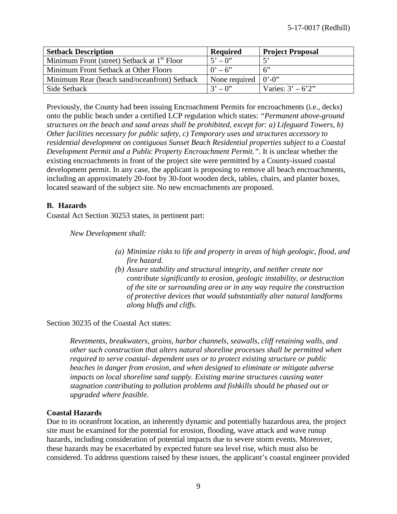| <b>Setback Description</b>                              | <b>Required</b>                 | <b>Project Proposal</b> |
|---------------------------------------------------------|---------------------------------|-------------------------|
| Minimum Front (street) Setback at 1 <sup>st</sup> Floor | $5^{\circ} - 0^{\circ}$         |                         |
| Minimum Front Setback at Other Floors                   | $0' - 6''$                      | 6                       |
| Minimum Rear (beach sand/oceanfront) Setback            | None required $\vert 0$ . $0$ . |                         |
| Side Setback                                            | $3' - 0''$                      | Varies: $3' - 6'2''$    |

Previously, the County had been issuing Encroachment Permits for encroachments (i.e., decks) onto the public beach under a certified LCP regulation which states: *"Permanent above-ground structures on the beach and sand areas shall be prohibited, except for: a) Lifeguard Towers, b) Other facilities necessary for public safety, c) Temporary uses and structures accessory to residential development on contiguous Sunset Beach Residential properties subject to a Coastal Development Permit and a Public Property Encroachment Permit."*. It is unclear whether the existing encroachments in front of the project site were permitted by a County-issued coastal development permit. In any case, the applicant is proposing to remove all beach encroachments, including an approximately 20-foot by 30-foot wooden deck, tables, chairs, and planter boxes, located seaward of the subject site. No new encroachments are proposed.

## **B. Hazards**

Coastal Act Section 30253 states, in pertinent part:

*New Development shall:*

- *(a) Minimize risks to life and property in areas of high geologic, flood, and fire hazard.*
- *(b) Assure stability and structural integrity, and neither create nor contribute significantly to erosion, geologic instability, or destruction of the site or surrounding area or in any way require the construction of protective devices that would substantially alter natural landforms along bluffs and cliffs.*

Section 30235 of the Coastal Act states:

*Revetments, breakwaters, groins, harbor channels, seawalls, cliff retaining walls, and other such construction that alters natural shoreline processes shall be permitted when required to serve coastal- dependent uses or to protect existing structure or public beaches in danger from erosion, and when designed to eliminate or mitigate adverse impacts on local shoreline sand supply. Existing marine structures causing water stagnation contributing to pollution problems and fishkills should be phased out or upgraded where feasible.*

## **Coastal Hazards**

Due to its oceanfront location, an inherently dynamic and potentially hazardous area, the project site must be examined for the potential for erosion, flooding, wave attack and wave runup hazards, including consideration of potential impacts due to severe storm events. Moreover, these hazards may be exacerbated by expected future sea level rise, which must also be considered. To address questions raised by these issues, the applicant's coastal engineer provided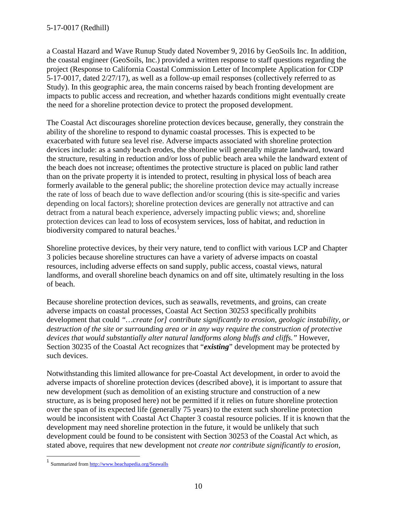a Coastal Hazard and Wave Runup Study dated November 9, 2016 by GeoSoils Inc. In addition, the coastal engineer (GeoSoils, Inc.) provided a written response to staff questions regarding the project (Response to California Coastal Commission Letter of Incomplete Application for CDP 5-17-0017, dated 2/27/17), as well as a follow-up email responses (collectively referred to as Study). In this geographic area, the main concerns raised by beach fronting development are impacts to public access and recreation, and whether hazards conditions might eventually create the need for a shoreline protection device to protect the proposed development.

The Coastal Act discourages shoreline protection devices because, generally, they constrain the ability of the shoreline to respond to dynamic coastal processes. This is expected to be exacerbated with future sea level rise. Adverse impacts associated with shoreline protection devices include: as a sandy beach erodes, the shoreline will generally migrate landward, toward the structure, resulting in reduction and/or loss of public beach area while the landward extent of the beach does not increase; oftentimes the protective structure is placed on public land rather than on the private property it is intended to protect, resulting in physical loss of beach area formerly available to the general public; the shoreline protection device may actually increase the rate of loss of beach due to wave deflection and/or scouring (this is site-specific and varies depending on local factors); shoreline protection devices are generally not attractive and can detract from a natural beach experience, adversely impacting public views; and, shoreline protection devices can lead to [loss of ecosystem services,](http://www.esajournals.org/doi/abs/10.1890/14-0716.1) [loss of habitat, and reduction in](http://pubs.usgs.gov/sir/2010/5254/pdf/sir20105254_chap19.pdf)  [biodiversity](http://pubs.usgs.gov/sir/2010/5254/pdf/sir20105254_chap19.pdf) compared to natural beaches.<sup>[1](#page-9-0)</sup>

Shoreline protective devices, by their very nature, tend to conflict with various LCP and Chapter 3 policies because shoreline structures can have a variety of adverse impacts on coastal resources, including adverse effects on sand supply, public access, coastal views, natural landforms, and overall shoreline beach dynamics on and off site, ultimately resulting in the loss of beach.

Because shoreline protection devices, such as seawalls, revetments, and groins, can create adverse impacts on coastal processes, Coastal Act Section 30253 specifically prohibits development that could *"…create [or] contribute significantly to erosion, geologic instability, or destruction of the site or surrounding area or in any way require the construction of protective devices that would substantially alter natural landforms along bluffs and cliffs."* However, Section 30235 of the Coastal Act recognizes that "*existing*" development may be protected by such devices.

Notwithstanding this limited allowance for pre-Coastal Act development, in order to avoid the adverse impacts of shoreline protection devices (described above), it is important to assure that new development (such as demolition of an existing structure and construction of a new structure, as is being proposed here) not be permitted if it relies on future shoreline protection over the span of its expected life (generally 75 years) to the extent such shoreline protection would be inconsistent with Coastal Act Chapter 3 coastal resource policies. If it is known that the development may need shoreline protection in the future, it would be unlikely that such development could be found to be consistent with Section 30253 of the Coastal Act which, as stated above, requires that new development not *create nor contribute significantly to erosion,* 

<span id="page-9-0"></span><sup>&</sup>lt;sup>1</sup> Summarized fro[m http://www.beachapedia.org/Seawalls](http://www.beachapedia.org/Seawalls)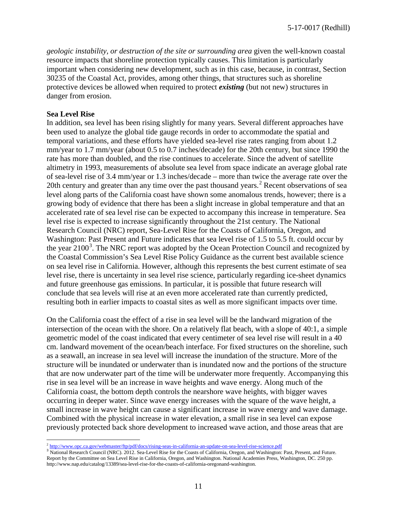*geologic instability, or destruction of the site or surrounding area* given the well-known coastal resource impacts that shoreline protection typically causes. This limitation is particularly important when considering new development, such as in this case, because, in contrast, Section 30235 of the Coastal Act, provides, among other things, that structures such as shoreline protective devices be allowed when required to protect *existing* (but not new) structures in danger from erosion.

#### **Sea Level Rise**

In addition, sea level has been rising slightly for many years. Several different approaches have been used to analyze the global tide gauge records in order to accommodate the spatial and temporal variations, and these efforts have yielded sea-level rise rates ranging from about 1.2 mm/year to 1.7 mm/year (about 0.5 to 0.7 inches/decade) for the 20th century, but since 1990 the rate has more than doubled, and the rise continues to accelerate. Since the advent of satellite altimetry in 1993, measurements of absolute sea level from space indicate an average global rate of sea-level rise of 3.4 mm/year or 1.3 inches/decade – more than twice the average rate over the [2](#page-10-0)0th century and greater than any time over the past thousand years.<sup>2</sup> Recent observations of sea level along parts of the California coast have shown some anomalous trends, however; there is a growing body of evidence that there has been a slight increase in global temperature and that an accelerated rate of sea level rise can be expected to accompany this increase in temperature. Sea level rise is expected to increase significantly throughout the 21st century. The National Research Council (NRC) report, Sea-Level Rise for the Coasts of California, Oregon, and Washington: Past Present and Future indicates that sea level rise of 1.5 to 5.5 ft. could occur by the year  $2100^3$  $2100^3$ . The NRC report was adopted by the Ocean Protection Council and recognized by the Coastal Commission's Sea Level Rise Policy Guidance as the current best available science on sea level rise in California. However, although this represents the best current estimate of sea level rise, there is uncertainty in sea level rise science, particularly regarding ice-sheet dynamics and future greenhouse gas emissions. In particular, it is possible that future research will conclude that sea levels will rise at an even more accelerated rate than currently predicted, resulting both in earlier impacts to coastal sites as well as more significant impacts over time.

On the California coast the effect of a rise in sea level will be the landward migration of the intersection of the ocean with the shore. On a relatively flat beach, with a slope of 40:1, a simple geometric model of the coast indicated that every centimeter of sea level rise will result in a 40 cm. landward movement of the ocean/beach interface. For fixed structures on the shoreline, such as a seawall, an increase in sea level will increase the inundation of the structure. More of the structure will be inundated or underwater than is inundated now and the portions of the structure that are now underwater part of the time will be underwater more frequently. Accompanying this rise in sea level will be an increase in wave heights and wave energy. Along much of the California coast, the bottom depth controls the nearshore wave heights, with bigger waves occurring in deeper water. Since wave energy increases with the square of the wave height, a small increase in wave height can cause a significant increase in wave energy and wave damage. Combined with the physical increase in water elevation, a small rise in sea level can expose previously protected back shore development to increased wave action, and those areas that are

<span id="page-10-1"></span><span id="page-10-0"></span> $\frac{2 \text{ http://www.ope.ca.gov/webmaster/ftp/pdf/docs/rising-seas-in-california-an-update-on-sea-level-rise-science.pdf}}{3 \text{ National Research Council (NRC). } 2012$ . Sea-Level Rise for the Coasts of California, Oregon, and Washington: Past, Present, and Future. Report by the Committee on Sea Level Rise in California, Oregon, and Washington. National Academies Press, Washington, DC. 250 pp. http://www.nap.edu/catalog/13389/sea-level-rise-for-the-coasts-of-california-oregonand-washington.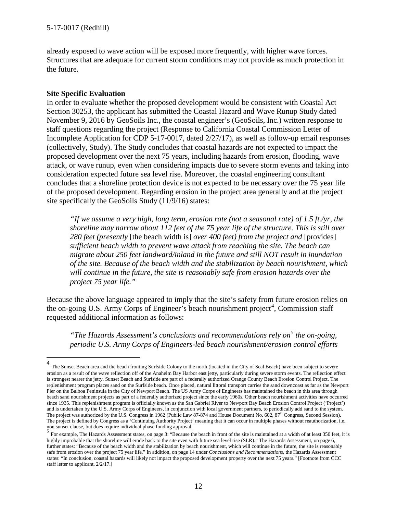already exposed to wave action will be exposed more frequently, with higher wave forces. Structures that are adequate for current storm conditions may not provide as much protection in the future.

#### **Site Specific Evaluation**

In order to evaluate whether the proposed development would be consistent with Coastal Act Section 30253, the applicant has submitted the Coastal Hazard and Wave Runup Study dated November 9, 2016 by GeoSoils Inc., the coastal engineer's (GeoSoils, Inc.) written response to staff questions regarding the project (Response to California Coastal Commission Letter of Incomplete Application for CDP 5-17-0017, dated 2/27/17), as well as follow-up email responses (collectively, Study). The Study concludes that coastal hazards are not expected to impact the proposed development over the next 75 years, including hazards from erosion, flooding, wave attack, or wave runup, even when considering impacts due to severe storm events and taking into consideration expected future sea level rise. Moreover, the coastal engineering consultant concludes that a shoreline protection device is not expected to be necessary over the 75 year life of the proposed development. Regarding erosion in the project area generally and at the project site specifically the GeoSoils Study (11/9/16) states:

*"If we assume a very high, long term, erosion rate (not a seasonal rate) of 1.5 ft./yr, the shoreline may narrow about 112 feet of the 75 year life of the structure. This is still over 280 feet (presently* [the beach width is] *over 400 feet) from the project and* [provides] *sufficient beach width to prevent wave attack from reaching the site. The beach can migrate about 250 feet landward/inland in the future and still NOT result in inundation of the site. Because of the beach width and the stabilization by beach nourishment, which will continue in the future, the site is reasonably safe from erosion hazards over the project 75 year life."*

Because the above language appeared to imply that the site's safety from future erosion relies on the on-going U.S. Army Corps of Engineer's beach nourishment project<sup>[4](#page-11-0)</sup>, Commission staff requested additional information as follows:

*"The Hazards Assessment's conclusions and recommendations rely on[5](#page-11-1) the on-going, periodic U.S. Army Corps of Engineers-led beach nourishment/erosion control efforts* 

<span id="page-11-0"></span> <sup>4</sup> The Sunset Beach area and the beach fronting Surfside Colony to the north (located in the City of Seal Beach) have been subject to severe erosion as a result of the wave reflection off of the Anaheim Bay Harbor east jetty, particularly during severe storm events. The reflection effect is strongest nearer the jetty. Sunset Beach and Surfside are part of a federally authorized Orange County Beach Erosion Control Project. The replenishment program places sand on the Surfside beach. Once placed, natural littoral transport carries the sand downcoast as far as the Newport Pier on the Balboa Peninsula in the City of Newport Beach. The US Army Corps of Engineers has maintained the beach in this area through beach sand nourishment projects as part of a federally authorized project since the early 1960s. Other beach nourishment activities have occurred since 1935. This replenishment program is officially known as the San Gabriel River to Newport Bay Beach Erosion Control Project ('Project') and is undertaken by the U.S. Army Corps of Engineers, in conjunction with local government partners, to periodically add sand to the system. The project was authorized by the U.S. Congress in 1962 (Public Law 87-874 and House Document No. 602, 87<sup>th</sup> Congress, Second Session). The project is defined by Congress as a 'Continuing Authority Project' meaning that it can occur in multiple phases without reauthorization, i.e. non sunset clause, but does require individual phase funding approval.

<span id="page-11-1"></span><sup>&</sup>lt;sup>5</sup> For example, The Hazards Assessment states, on page 3: "Because the beach in front of the site is maintained at a width of at least 350 feet, it is highly improbable that the shoreline will erode back to the site even with future sea level rise (SLR)." The Hazards Assessment, on page 6, further states: "Because of the beach width and the stabilization by beach nourishment, which will continue in the future, the site is reasonably safe from erosion over the project 75 year life." In addition, on page 14 under *Conclusions and Recommendations*, the Hazards Assessment states: "In conclusion, coastal hazards will likely not impact the proposed development property over the next 75 years." [Footnote from CCC staff letter to applicant, 2/2/17.]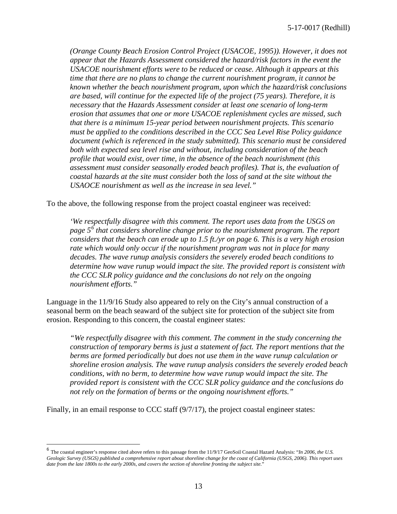*(Orange County Beach Erosion Control Project (USACOE, 1995)). However, it does not appear that the Hazards Assessment considered the hazard/risk factors in the event the USACOE nourishment efforts were to be reduced or cease. Although it appears at this time that there are no plans to change the current nourishment program, it cannot be known whether the beach nourishment program, upon which the hazard/risk conclusions are based, will continue for the expected life of the project (75 years). Therefore, it is necessary that the Hazards Assessment consider at least one scenario of long-term erosion that assumes that one or more USACOE replenishment cycles are missed, such that there is a minimum 15-year period between nourishment projects. This scenario must be applied to the conditions described in the CCC Sea Level Rise Policy guidance document (which is referenced in the study submitted). This scenario must be considered both with expected sea level rise and without, including consideration of the beach profile that would exist, over time, in the absence of the beach nourishment (this assessment must consider seasonally eroded beach profiles). That is, the evaluation of coastal hazards at the site must consider both the loss of sand at the site without the USAOCE nourishment as well as the increase in sea level."*

To the above, the following response from the project coastal engineer was received:

*'We respectfully disagree with this comment. The report uses data from the USGS on page 5[6](#page-12-0) that considers shoreline change prior to the nourishment program. The report considers that the beach can erode up to 1.5 ft./yr on page 6. This is a very high erosion rate which would only occur if the nourishment program was not in place for many decades. The wave runup analysis considers the severely eroded beach conditions to determine how wave runup would impact the site. The provided report is consistent with the CCC SLR policy guidance and the conclusions do not rely on the ongoing nourishment efforts."*

Language in the 11/9/16 Study also appeared to rely on the City's annual construction of a seasonal berm on the beach seaward of the subject site for protection of the subject site from erosion. Responding to this concern, the coastal engineer states:

*"We respectfully disagree with this comment. The comment in the study concerning the construction of temporary berms is just a statement of fact. The report mentions that the berms are formed periodically but does not use them in the wave runup calculation or shoreline erosion analysis. The wave runup analysis considers the severely eroded beach conditions, with no berm, to determine how wave runup would impact the site. The provided report is consistent with the CCC SLR policy guidance and the conclusions do not rely on the formation of berms or the ongoing nourishment efforts."*

Finally, in an email response to CCC staff (9/7/17), the project coastal engineer states:

<span id="page-12-0"></span> <sup>6</sup> The coastal engineer's response cited above refers to this passage from the 11/9/17 GeoSoil Coastal Hazard Analysis: "*In 2006, the U.S.*  Geologic Survey (USGS) published a comprehensive report about shoreline change for the coast of California (USGS, 2006). This *report uses date from the late 1800s to the early 2000s, and covers the section of shoreline fronting the subject site.*"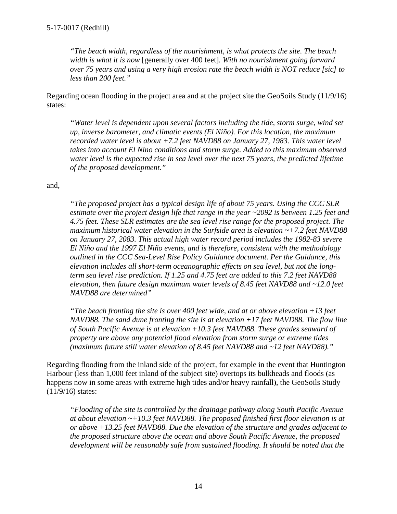*"The beach width, regardless of the nourishment, is what protects the site. The beach width is what it is now* [generally over 400 feet]*. With no nourishment going forward over 75 years and using a very high erosion rate the beach width is NOT reduce [sic] to less than 200 feet."*

Regarding ocean flooding in the project area and at the project site the GeoSoils Study (11/9/16) states:

*"Water level is dependent upon several factors including the tide, storm surge, wind set up, inverse barometer, and climatic events (El Niño). For this location, the maximum recorded water level is about +7.2 feet NAVD88 on January 27, 1983. This water level takes into account El Nino conditions and storm surge. Added to this maximum observed water level is the expected rise in sea level over the next 75 years, the predicted lifetime of the proposed development."*

and,

*"The proposed project has a typical design life of about 75 years. Using the CCC SLR estimate over the project design life that range in the year ~2092 is between 1.25 feet and 4.75 feet. These SLR estimates are the sea level rise range for the proposed project. The maximum historical water elevation in the Surfside area is elevation ~+7.2 feet NAVD88 on January 27, 2083. This actual high water record period includes the 1982-83 severe El Niño and the 1997 El Niño events, and is therefore, consistent with the methodology outlined in the CCC Sea-Level Rise Policy Guidance document. Per the Guidance, this elevation includes all short-term oceanographic effects on sea level, but not the longterm sea level rise prediction. If 1.25 and 4.75 feet are added to this 7.2 feet NAVD88 elevation, then future design maximum water levels of 8.45 feet NAVD88 and ~12.0 feet NAVD88 are determined"*

*"The beach fronting the site is over 400 feet wide, and at or above elevation +13 feet NAVD88. The sand dune fronting the site is at elevation +17 feet NAVD88. The flow line of South Pacific Avenue is at elevation +10.3 feet NAVD88. These grades seaward of property are above any potential flood elevation from storm surge or extreme tides (maximum future still water elevation of 8.45 feet NAVD88 and ~12 feet NAVD88)."*

Regarding flooding from the inland side of the project, for example in the event that Huntington Harbour (less than 1,000 feet inland of the subject site) overtops its bulkheads and floods (as happens now in some areas with extreme high tides and/or heavy rainfall), the GeoSoils Study (11/9/16) states:

*"Flooding of the site is controlled by the drainage pathway along South Pacific Avenue at about elevation ~+10.3 feet NAVD88. The proposed finished first floor elevation is at or above +13.25 feet NAVD88. Due the elevation of the structure and grades adjacent to the proposed structure above the ocean and above South Pacific Avenue, the proposed development will be reasonably safe from sustained flooding. It should be noted that the*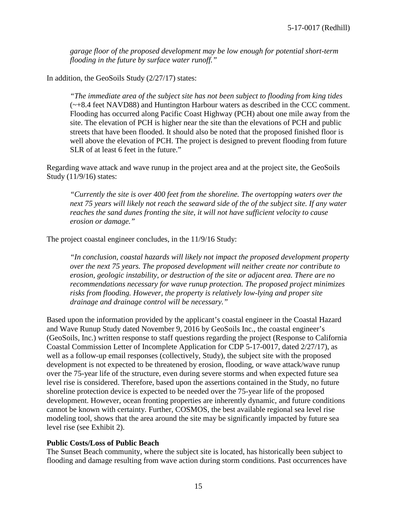*garage floor of the proposed development may be low enough for potential short-term flooding in the future by surface water runoff."*

In addition, the GeoSoils Study (2/27/17) states:

*"The immediate area of the subject site has not been subject to flooding from king tides*  (~+8.4 feet NAVD88) and Huntington Harbour waters as described in the CCC comment. Flooding has occurred along Pacific Coast Highway (PCH) about one mile away from the site. The elevation of PCH is higher near the site than the elevations of PCH and public streets that have been flooded. It should also be noted that the proposed finished floor is well above the elevation of PCH. The project is designed to prevent flooding from future SLR of at least 6 feet in the future."

Regarding wave attack and wave runup in the project area and at the project site, the GeoSoils Study (11/9/16) states:

*"Currently the site is over 400 feet from the shoreline. The overtopping waters over the next 75 years will likely not reach the seaward side of the of the subject site. If any water reaches the sand dunes fronting the site, it will not have sufficient velocity to cause erosion or damage."*

The project coastal engineer concludes, in the 11/9/16 Study:

*"In conclusion, coastal hazards will likely not impact the proposed development property over the next 75 years. The proposed development will neither create nor contribute to erosion, geologic instability, or destruction of the site or adjacent area. There are no recommendations necessary for wave runup protection. The proposed project minimizes risks from flooding. However, the property is relatively low-lying and proper site drainage and drainage control will be necessary."*

Based upon the information provided by the applicant's coastal engineer in the Coastal Hazard and Wave Runup Study dated November 9, 2016 by GeoSoils Inc., the coastal engineer's (GeoSoils, Inc.) written response to staff questions regarding the project (Response to California Coastal Commission Letter of Incomplete Application for CDP 5-17-0017, dated 2/27/17), as well as a follow-up email responses (collectively, Study), the subject site with the proposed development is not expected to be threatened by erosion, flooding, or wave attack/wave runup over the 75-year life of the structure, even during severe storms and when expected future sea level rise is considered. Therefore, based upon the assertions contained in the Study, no future shoreline protection device is expected to be needed over the 75-year life of the proposed development. However, ocean fronting properties are inherently dynamic, and future conditions cannot be known with certainty. Further, COSMOS, the best available regional sea level rise modeling tool, shows that the area around the site may be significantly impacted by future sea level rise (see Exhibit 2).

#### **Public Costs/Loss of Public Beach**

The Sunset Beach community, where the subject site is located, has historically been subject to flooding and damage resulting from wave action during storm conditions. Past occurrences have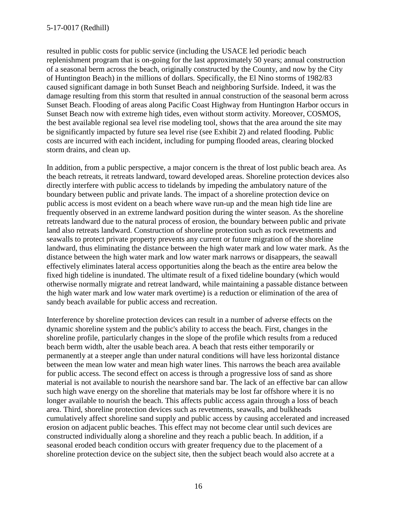resulted in public costs for public service (including the USACE led periodic beach replenishment program that is on-going for the last approximately 50 years; annual construction of a seasonal berm across the beach, originally constructed by the County, and now by the City of Huntington Beach) in the millions of dollars. Specifically, the El Nino storms of 1982/83 caused significant damage in both Sunset Beach and neighboring Surfside. Indeed, it was the damage resulting from this storm that resulted in annual construction of the seasonal berm across Sunset Beach. Flooding of areas along Pacific Coast Highway from Huntington Harbor occurs in Sunset Beach now with extreme high tides, even without storm activity. Moreover, COSMOS, the best available regional sea level rise modeling tool, shows that the area around the site may be significantly impacted by future sea level rise (see Exhibit 2) and related flooding. Public costs are incurred with each incident, including for pumping flooded areas, clearing blocked storm drains, and clean up.

In addition, from a public perspective, a major concern is the threat of lost public beach area. As the beach retreats, it retreats landward, toward developed areas. Shoreline protection devices also directly interfere with public access to tidelands by impeding the ambulatory nature of the boundary between public and private lands. The impact of a shoreline protection device on public access is most evident on a beach where wave run-up and the mean high tide line are frequently observed in an extreme landward position during the winter season. As the shoreline retreats landward due to the natural process of erosion, the boundary between public and private land also retreats landward. Construction of shoreline protection such as rock revetments and seawalls to protect private property prevents any current or future migration of the shoreline landward, thus eliminating the distance between the high water mark and low water mark. As the distance between the high water mark and low water mark narrows or disappears, the seawall effectively eliminates lateral access opportunities along the beach as the entire area below the fixed high tideline is inundated. The ultimate result of a fixed tideline boundary (which would otherwise normally migrate and retreat landward, while maintaining a passable distance between the high water mark and low water mark overtime) is a reduction or elimination of the area of sandy beach available for public access and recreation.

Interference by shoreline protection devices can result in a number of adverse effects on the dynamic shoreline system and the public's ability to access the beach. First, changes in the shoreline profile, particularly changes in the slope of the profile which results from a reduced beach berm width, alter the usable beach area. A beach that rests either temporarily or permanently at a steeper angle than under natural conditions will have less horizontal distance between the mean low water and mean high water lines. This narrows the beach area available for public access. The second effect on access is through a progressive loss of sand as shore material is not available to nourish the nearshore sand bar. The lack of an effective bar can allow such high wave energy on the shoreline that materials may be lost far offshore where it is no longer available to nourish the beach. This affects public access again through a loss of beach area. Third, shoreline protection devices such as revetments, seawalls, and bulkheads cumulatively affect shoreline sand supply and public access by causing accelerated and increased erosion on adjacent public beaches. This effect may not become clear until such devices are constructed individually along a shoreline and they reach a public beach. In addition, if a seasonal eroded beach condition occurs with greater frequency due to the placement of a shoreline protection device on the subject site, then the subject beach would also accrete at a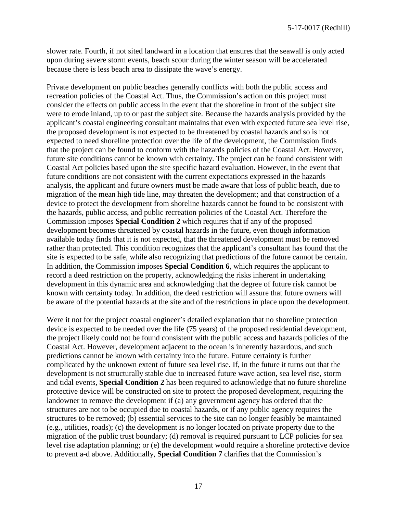slower rate. Fourth, if not sited landward in a location that ensures that the seawall is only acted upon during severe storm events, beach scour during the winter season will be accelerated because there is less beach area to dissipate the wave's energy.

Private development on public beaches generally conflicts with both the public access and recreation policies of the Coastal Act. Thus, the Commission's action on this project must consider the effects on public access in the event that the shoreline in front of the subject site were to erode inland, up to or past the subject site. Because the hazards analysis provided by the applicant's coastal engineering consultant maintains that even with expected future sea level rise, the proposed development is not expected to be threatened by coastal hazards and so is not expected to need shoreline protection over the life of the development, the Commission finds that the project can be found to conform with the hazards policies of the Coastal Act. However, future site conditions cannot be known with certainty. The project can be found consistent with Coastal Act policies based upon the site specific hazard evaluation. However, in the event that future conditions are not consistent with the current expectations expressed in the hazards analysis, the applicant and future owners must be made aware that loss of public beach, due to migration of the mean high tide line, may threaten the development; and that construction of a device to protect the development from shoreline hazards cannot be found to be consistent with the hazards, public access, and public recreation policies of the Coastal Act. Therefore the Commission imposes **Special Condition 2** which requires that if any of the proposed development becomes threatened by coastal hazards in the future, even though information available today finds that it is not expected, that the threatened development must be removed rather than protected. This condition recognizes that the applicant's consultant has found that the site is expected to be safe, while also recognizing that predictions of the future cannot be certain. In addition, the Commission imposes **Special Condition 6**, which requires the applicant to record a deed restriction on the property, acknowledging the risks inherent in undertaking development in this dynamic area and acknowledging that the degree of future risk cannot be known with certainty today. In addition, the deed restriction will assure that future owners will be aware of the potential hazards at the site and of the restrictions in place upon the development.

Were it not for the project coastal engineer's detailed explanation that no shoreline protection device is expected to be needed over the life (75 years) of the proposed residential development, the project likely could not be found consistent with the public access and hazards policies of the Coastal Act. However, development adjacent to the ocean is inherently hazardous, and such predictions cannot be known with certainty into the future. Future certainty is further complicated by the unknown extent of future sea level rise. If, in the future it turns out that the development is not structurally stable due to increased future wave action, sea level rise, storm and tidal events, **Special Condition 2** has been required to acknowledge that no future shoreline protective device will be constructed on site to protect the proposed development, requiring the landowner to remove the development if (a) any government agency has ordered that the structures are not to be occupied due to coastal hazards, or if any public agency requires the structures to be removed; (b) essential services to the site can no longer feasibly be maintained (e.g., utilities, roads); (c) the development is no longer located on private property due to the migration of the public trust boundary; (d) removal is required pursuant to LCP policies for sea level rise adaptation planning; or (e) the development would require a shoreline protective device to prevent a-d above. Additionally, **Special Condition 7** clarifies that the Commission's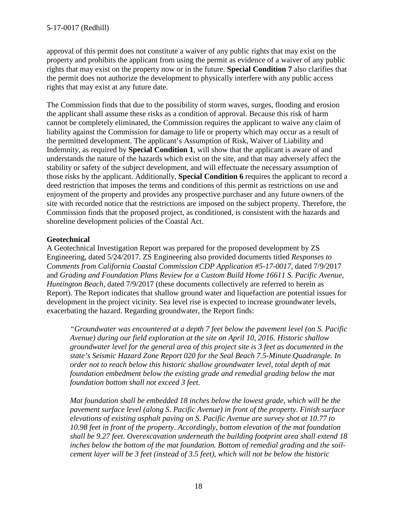approval of this permit does not constitute a waiver of any public rights that may exist on the property and prohibits the applicant from using the permit as evidence of a waiver of any public rights that may exist on the property now or in the future. **Special Condition 7** also clarifies that the permit does not authorize the development to physically interfere with any public access rights that may exist at any future date.

The Commission finds that due to the possibility of storm waves, surges, flooding and erosion the applicant shall assume these risks as a condition of approval. Because this risk of harm cannot be completely eliminated, the Commission requires the applicant to waive any claim of liability against the Commission for damage to life or property which may occur as a result of the permitted development. The applicant's Assumption of Risk, Waiver of Liability and Indemnity, as required by **Special Condition 1**, will show that the applicant is aware of and understands the nature of the hazards which exist on the site, and that may adversely affect the stability or safety of the subject development, and will effectuate the necessary assumption of those risks by the applicant. Additionally, **Special Condition 6** requires the applicant to record a deed restriction that imposes the terms and conditions of this permit as restrictions on use and enjoyment of the property and provides any prospective purchaser and any future owners of the site with recorded notice that the restrictions are imposed on the subject property. Therefore, the Commission finds that the proposed project, as conditioned, is consistent with the hazards and shoreline development policies of the Coastal Act.

## **Geotechnical**

A Geotechnical Investigation Report was prepared for the proposed development by ZS Engineering, dated 5/24/2017. ZS Engineering also provided documents titled *Responses to Comments from California Coastal Commission CDP Application #5-17-0017*, dated 7/9/2017 and *Grading and Foundation Plans Review for a Custom Build Home 16611 S. Pacific Avenue, Huntington Beach*, dated 7/9/2017 (these documents collectively are referred to herein as Report). The Report indicates that shallow ground water and liquefaction are potential issues for development in the project vicinity. Sea level rise is expected to increase groundwater levels, exacerbating the hazard. Regarding groundwater, the Report finds:

*"Groundwater was encountered at a depth 7 feet below the pavement level (on S. Pacific Avenue) during our field exploration at the site on April 10, 2016. Historic shallow groundwater level for the general area of this project site is 3 feet as documented in the state's Seismic Hazard Zone Report 020 for the Seal Beach 7.5-Minute Quadrangle. In order not to reach below this historic shallow groundwater level, total depth of mat foundation embedment below the existing grade and remedial grading below the mat foundation bottom shall not exceed 3 feet.*

*Mat foundation shall be embedded 18 inches below the lowest grade, which will be the pavement surface level (along S. Pacific Avenue) in front of the property. Finish surface elevations of existing asphalt paving on S. Pacific Avenue are survey shot at 10.77 to 10.98 feet in front of the property. Accordingly, bottom elevation of the mat foundation shall be 9.27 feet. Overexcavation underneath the building footprint area shall extend 18 inches below the bottom of the mat foundation. Bottom of remedial grading and the soilcement layer will be 3 feet (instead of 3.5 feet), which will not be below the historic*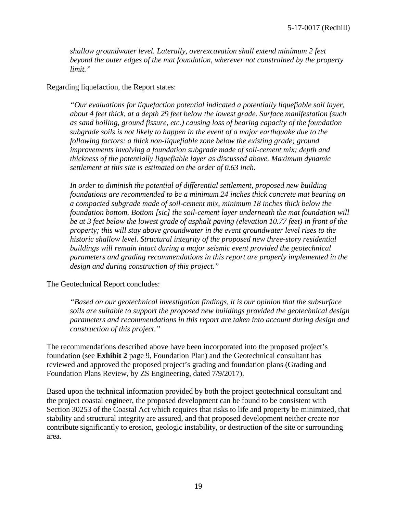*shallow groundwater level. Laterally, overexcavation shall extend minimum 2 feet beyond the outer edges of the mat foundation, wherever not constrained by the property limit."*

#### Regarding liquefaction, the Report states:

*"Our evaluations for liquefaction potential indicated a potentially liquefiable soil layer, about 4 feet thick, at a depth 29 feet below the lowest grade. Surface manifestation (such as sand boiling, ground fissure, etc.) causing loss of bearing capacity of the foundation subgrade soils is not likely to happen in the event of a major earthquake due to the following factors: a thick non-liquefiable zone below the existing grade; ground improvements involving a foundation subgrade made of soil-cement mix; depth and thickness of the potentially liquefiable layer as discussed above. Maximum dynamic settlement at this site is estimated on the order of 0.63 inch.*

*In order to diminish the potential of differential settlement, proposed new building foundations are recommended to be a minimum 24 inches thick concrete mat bearing on a compacted subgrade made of soil-cement mix, minimum 18 inches thick below the foundation bottom. Bottom [sic] the soil-cement layer underneath the mat foundation will be at 3 feet below the lowest grade of asphalt paving (elevation 10.77 feet) in front of the property; this will stay above groundwater in the event groundwater level rises to the historic shallow level. Structural integrity of the proposed new three-story residential buildings will remain intact during a major seismic event provided the geotechnical parameters and grading recommendations in this report are properly implemented in the design and during construction of this project."*

The Geotechnical Report concludes:

*"Based on our geotechnical investigation findings, it is our opinion that the subsurface soils are suitable to support the proposed new buildings provided the geotechnical design parameters and recommendations in this report are taken into account during design and construction of this project."*

The recommendations described above have been incorporated into the proposed project's foundation (see **Exhibit 2** page 9, Foundation Plan) and the Geotechnical consultant has reviewed and approved the proposed project's grading and foundation plans (Grading and Foundation Plans Review, by ZS Engineering, dated 7/9/2017).

Based upon the technical information provided by both the project geotechnical consultant and the project coastal engineer, the proposed development can be found to be consistent with Section 30253 of the Coastal Act which requires that risks to life and property be minimized, that stability and structural integrity are assured, and that proposed development neither create nor contribute significantly to erosion, geologic instability, or destruction of the site or surrounding area.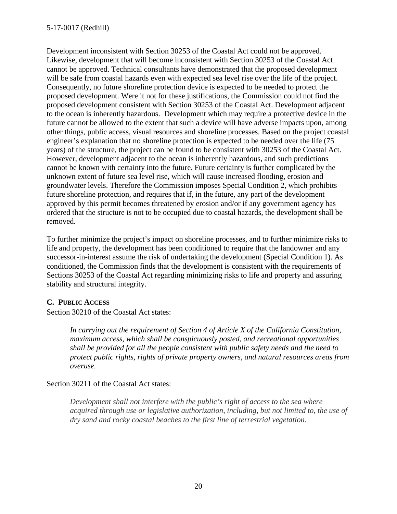Development inconsistent with Section 30253 of the Coastal Act could not be approved. Likewise, development that will become inconsistent with Section 30253 of the Coastal Act cannot be approved. Technical consultants have demonstrated that the proposed development will be safe from coastal hazards even with expected sea level rise over the life of the project. Consequently, no future shoreline protection device is expected to be needed to protect the proposed development. Were it not for these justifications, the Commission could not find the proposed development consistent with Section 30253 of the Coastal Act. Development adjacent to the ocean is inherently hazardous. Development which may require a protective device in the future cannot be allowed to the extent that such a device will have adverse impacts upon, among other things, public access, visual resources and shoreline processes. Based on the project coastal engineer's explanation that no shoreline protection is expected to be needed over the life (75 years) of the structure, the project can be found to be consistent with 30253 of the Coastal Act. However, development adjacent to the ocean is inherently hazardous, and such predictions cannot be known with certainty into the future. Future certainty is further complicated by the unknown extent of future sea level rise, which will cause increased flooding, erosion and groundwater levels. Therefore the Commission imposes Special Condition 2, which prohibits future shoreline protection, and requires that if, in the future, any part of the development approved by this permit becomes threatened by erosion and/or if any government agency has ordered that the structure is not to be occupied due to coastal hazards, the development shall be removed.

To further minimize the project's impact on shoreline processes, and to further minimize risks to life and property, the development has been conditioned to require that the landowner and any successor-in-interest assume the risk of undertaking the development (Special Condition 1). As conditioned, the Commission finds that the development is consistent with the requirements of Sections 30253 of the Coastal Act regarding minimizing risks to life and property and assuring stability and structural integrity.

## **C. PUBLIC ACCESS**

Section 30210 of the Coastal Act states:

*In carrying out the requirement of Section 4 of Article X of the California Constitution, maximum access, which shall be conspicuously posted, and recreational opportunities shall be provided for all the people consistent with public safety needs and the need to protect public rights, rights of private property owners, and natural resources areas from overuse.*

Section 30211 of the Coastal Act states:

*Development shall not interfere with the public's right of access to the sea where acquired through use or legislative authorization, including, but not limited to, the use of dry sand and rocky coastal beaches to the first line of terrestrial vegetation.*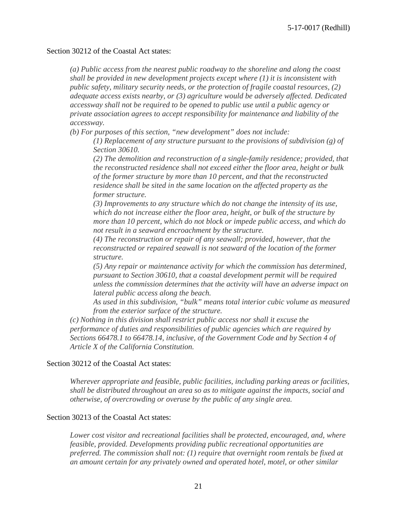#### Section 30212 of the Coastal Act states:

*(a) Public access from the nearest public roadway to the shoreline and along the coast shall be provided in new development projects except where (1) it is inconsistent with public safety, military security needs, or the protection of fragile coastal resources, (2) adequate access exists nearby, or (3) agriculture would be adversely affected. Dedicated accessway shall not be required to be opened to public use until a public agency or private association agrees to accept responsibility for maintenance and liability of the accessway.*

*(b) For purposes of this section, "new development" does not include:*

*(1) Replacement of any structure pursuant to the provisions of subdivision (g) of Section 30610.*

*(2) The demolition and reconstruction of a single-family residence; provided, that the reconstructed residence shall not exceed either the floor area, height or bulk of the former structure by more than 10 percent, and that the reconstructed residence shall be sited in the same location on the affected property as the former structure.*

*(3) Improvements to any structure which do not change the intensity of its use, which do not increase either the floor area, height, or bulk of the structure by more than 10 percent, which do not block or impede public access, and which do not result in a seaward encroachment by the structure.*

*(4) The reconstruction or repair of any seawall; provided, however, that the reconstructed or repaired seawall is not seaward of the location of the former structure.*

*(5) Any repair or maintenance activity for which the commission has determined, pursuant to Section 30610, that a coastal development permit will be required unless the commission determines that the activity will have an adverse impact on lateral public access along the beach.*

*As used in this subdivision, "bulk" means total interior cubic volume as measured from the exterior surface of the structure.*

*(c) Nothing in this division shall restrict public access nor shall it excuse the performance of duties and responsibilities of public agencies which are required by Sections 66478.1 to 66478.14, inclusive, of the Government Code and by Section 4 of Article X of the California Constitution.*

#### Section 30212 of the Coastal Act states:

*Wherever appropriate and feasible, public facilities, including parking areas or facilities, shall be distributed throughout an area so as to mitigate against the impacts, social and otherwise, of overcrowding or overuse by the public of any single area.*

#### Section 30213 of the Coastal Act states:

*Lower cost visitor and recreational facilities shall be protected, encouraged, and, where feasible, provided. Developments providing public recreational opportunities are preferred. The commission shall not: (1) require that overnight room rentals be fixed at an amount certain for any privately owned and operated hotel, motel, or other similar*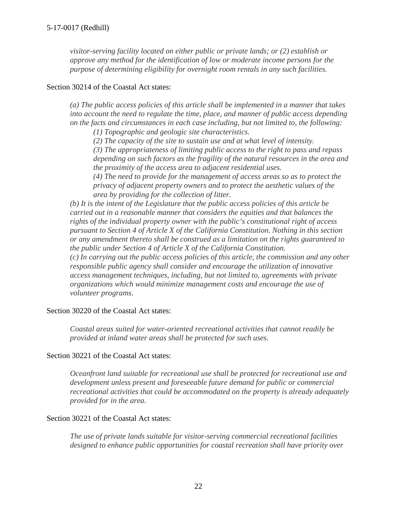*visitor-serving facility located on either public or private lands; or (2) establish or approve any method for the identification of low or moderate income persons for the purpose of determining eligibility for overnight room rentals in any such facilities.*

#### Section 30214 of the Coastal Act states:

*(a) The public access policies of this article shall be implemented in a manner that takes into account the need to regulate the time, place, and manner of public access depending on the facts and circumstances in each case including, but not limited to, the following:*

*(1) Topographic and geologic site characteristics.*

*(2) The capacity of the site to sustain use and at what level of intensity.*

*(3) The appropriateness of limiting public access to the right to pass and repass depending on such factors as the fragility of the natural resources in the area and the proximity of the access area to adjacent residential uses.*

*(4) The need to provide for the management of access areas so as to protect the privacy of adjacent property owners and to protect the aesthetic values of the area by providing for the collection of litter.*

*(b) It is the intent of the Legislature that the public access policies of this article be carried out in a reasonable manner that considers the equities and that balances the rights of the individual property owner with the public's constitutional right of access pursuant to Section 4 of Article X of the California Constitution. Nothing in this section or any amendment thereto shall be construed as a limitation on the rights guaranteed to the public under Section 4 of Article X of the California Constitution.*

*(c) In carrying out the public access policies of this article, the commission and any other responsible public agency shall consider and encourage the utilization of innovative access management techniques, including, but not limited to, agreements with private organizations which would minimize management costs and encourage the use of volunteer programs.*

#### Section 30220 of the Coastal Act states:

*Coastal areas suited for water-oriented recreational activities that cannot readily be provided at inland water areas shall be protected for such uses.*

#### Section 30221 of the Coastal Act states:

*Oceanfront land suitable for recreational use shall be protected for recreational use and development unless present and foreseeable future demand for public or commercial recreational activities that could be accommodated on the property is already adequately provided for in the area.*

#### Section 30221 of the Coastal Act states:

*The use of private lands suitable for visitor-serving commercial recreational facilities designed to enhance public opportunities for coastal recreation shall have priority over*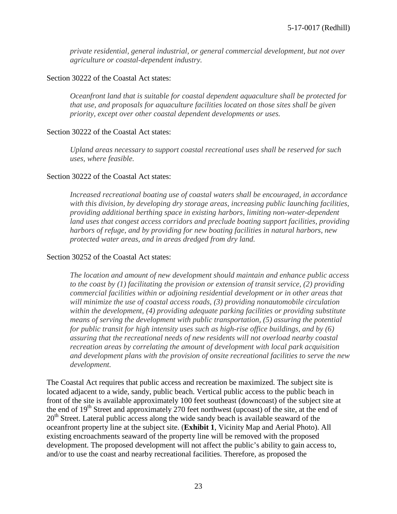*private residential, general industrial, or general commercial development, but not over agriculture or coastal-dependent industry.*

### Section 30222 of the Coastal Act states:

*Oceanfront land that is suitable for coastal dependent aquaculture shall be protected for that use, and proposals for aquaculture facilities located on those sites shall be given priority, except over other coastal dependent developments or uses.*

### Section 30222 of the Coastal Act states:

*Upland areas necessary to support coastal recreational uses shall be reserved for such uses, where feasible.*

### Section 30222 of the Coastal Act states:

*Increased recreational boating use of coastal waters shall be encouraged, in accordance with this division, by developing dry storage areas, increasing public launching facilities, providing additional berthing space in existing harbors, limiting non-water-dependent land uses that congest access corridors and preclude boating support facilities, providing harbors of refuge, and by providing for new boating facilities in natural harbors, new protected water areas, and in areas dredged from dry land.*

#### Section 30252 of the Coastal Act states:

*The location and amount of new development should maintain and enhance public access to the coast by (1) facilitating the provision or extension of transit service, (2) providing commercial facilities within or adjoining residential development or in other areas that will minimize the use of coastal access roads, (3) providing nonautomobile circulation within the development, (4) providing adequate parking facilities or providing substitute means of serving the development with public transportation, (5) assuring the potential for public transit for high intensity uses such as high-rise office buildings, and by (6) assuring that the recreational needs of new residents will not overload nearby coastal recreation areas by correlating the amount of development with local park acquisition and development plans with the provision of onsite recreational facilities to serve the new development.*

The Coastal Act requires that public access and recreation be maximized. The subject site is located adjacent to a wide, sandy, public beach. Vertical public access to the public beach in front of the site is available approximately 100 feet southeast (downcoast) of the subject site at the end of 19<sup>th</sup> Street and approximately 270 feet northwest (upcoast) of the site, at the end of 20<sup>th</sup> Street. Lateral public access along the wide sandy beach is available seaward of the oceanfront property line at the subject site. (**Exhibit 1**, Vicinity Map and Aerial Photo). All existing encroachments seaward of the property line will be removed with the proposed development. The proposed development will not affect the public's ability to gain access to, and/or to use the coast and nearby recreational facilities. Therefore, as proposed the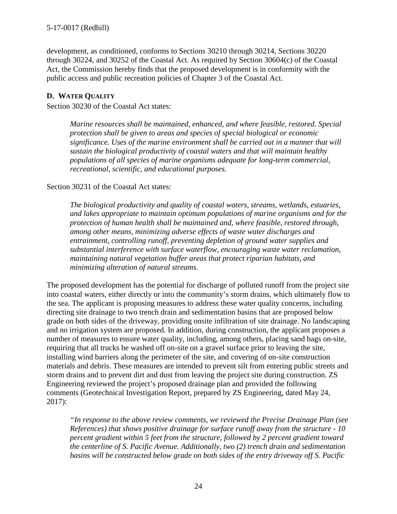development, as conditioned, conforms to Sections 30210 through 30214, Sections 30220 through 30224, and 30252 of the Coastal Act. As required by Section 30604(c) of the Coastal Act, the Commission hereby finds that the proposed development is in conformity with the public access and public recreation policies of Chapter 3 of the Coastal Act.

## **D. WATER QUALITY**

Section 30230 of the Coastal Act states:

*Marine resources shall be maintained, enhanced, and where feasible, restored. Special protection shall be given to areas and species of special biological or economic significance. Uses of the marine environment shall be carried out in a manner that will sustain the biological productivity of coastal waters and that will maintain healthy populations of all species of marine organisms adequate for long-term commercial, recreational, scientific, and educational purposes.*

### Section 30231 of the Coastal Act states:

*The biological productivity and quality of coastal waters, streams, wetlands, estuaries, and lakes appropriate to maintain optimum populations of marine organisms and for the protection of human health shall be maintained and, where feasible, restored through, among other means, minimizing adverse effects of waste water discharges and entrainment, controlling runoff, preventing depletion of ground water supplies and substantial interference with surface waterflow, encouraging waste water reclamation, maintaining natural vegetation buffer areas that protect riparian habitats, and minimizing alteration of natural streams.*

The proposed development has the potential for discharge of polluted runoff from the project site into coastal waters, either directly or into the community's storm drains, which ultimately flow to the sea. The applicant is proposing measures to address these water quality concerns, including directing site drainage to two trench drain and sedimentation basins that are proposed below grade on both sides of the driveway, providing onsite infiltration of site drainage. No landscaping and no irrigation system are proposed. In addition, during construction, the applicant proposes a number of measures to ensure water quality, including, among others, placing sand bags on-site, requiring that all trucks be washed off on-site on a gravel surface prior to leaving the site, installing wind barriers along the perimeter of the site, and covering of on-site construction materials and debris. These measures are intended to prevent silt from entering public streets and storm drains and to prevent dirt and dust from leaving the project site during construction. ZS Engineering reviewed the project's proposed drainage plan and provided the following comments (Geotechnical Investigation Report, prepared by ZS Engineering, dated May 24, 2017):

*"In response to the above review comments, we reviewed the Precise Drainage Plan (see References) that shows positive drainage for surface runoff away from the structure - 10 percent gradient within 5 feet from the structure, followed by 2 percent gradient toward the centerline of S. Pacific Avenue. Additionally, two (2) trench drain and sedimentation basins will be constructed below grade on both sides of the entry driveway off S. Pacific*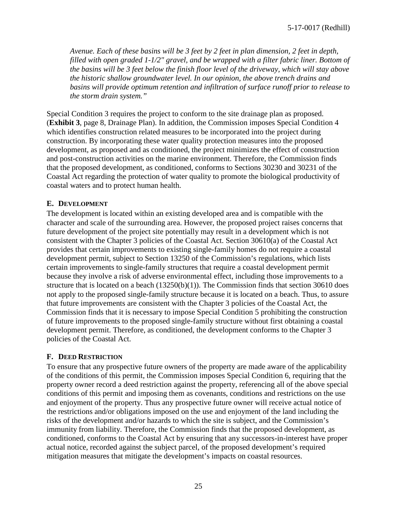5-17-0017 (Redhill)

*Avenue. Each of these basins will be 3 feet by 2 feet in plan dimension, 2 feet in depth, filled with open graded 1-1/2" gravel, and be wrapped with a filter fabric liner. Bottom of the basins will be 3 feet below the finish floor level of the driveway, which will stay above the historic shallow groundwater level. In our opinion, the above trench drains and basins will provide optimum retention and infiltration of surface runoff prior to release to the storm drain system."*

Special Condition 3 requires the project to conform to the site drainage plan as proposed. (**Exhibit 3**, page 8, Drainage Plan). In addition, the Commission imposes Special Condition 4 which identifies construction related measures to be incorporated into the project during construction. By incorporating these water quality protection measures into the proposed development, as proposed and as conditioned, the project minimizes the effect of construction and post-construction activities on the marine environment. Therefore, the Commission finds that the proposed development, as conditioned, conforms to Sections 30230 and 30231 of the Coastal Act regarding the protection of water quality to promote the biological productivity of coastal waters and to protect human health.

### **E. DEVELOPMENT**

The development is located within an existing developed area and is compatible with the character and scale of the surrounding area. However, the proposed project raises concerns that future development of the project site potentially may result in a development which is not consistent with the Chapter 3 policies of the Coastal Act. Section 30610(a) of the Coastal Act provides that certain improvements to existing single-family homes do not require a coastal development permit, subject to Section 13250 of the Commission's regulations, which lists certain improvements to single-family structures that require a coastal development permit because they involve a risk of adverse environmental effect, including those improvements to a structure that is located on a beach  $(13250(b)(1))$ . The Commission finds that section 30610 does not apply to the proposed single-family structure because it is located on a beach. Thus, to assure that future improvements are consistent with the Chapter 3 policies of the Coastal Act, the Commission finds that it is necessary to impose Special Condition 5 prohibiting the construction of future improvements to the proposed single-family structure without first obtaining a coastal development permit. Therefore, as conditioned, the development conforms to the Chapter 3 policies of the Coastal Act.

## **F. DEED RESTRICTION**

To ensure that any prospective future owners of the property are made aware of the applicability of the conditions of this permit, the Commission imposes Special Condition 6, requiring that the property owner record a deed restriction against the property, referencing all of the above special conditions of this permit and imposing them as covenants, conditions and restrictions on the use and enjoyment of the property. Thus any prospective future owner will receive actual notice of the restrictions and/or obligations imposed on the use and enjoyment of the land including the risks of the development and/or hazards to which the site is subject, and the Commission's immunity from liability. Therefore, the Commission finds that the proposed development, as conditioned, conforms to the Coastal Act by ensuring that any successors-in-interest have proper actual notice, recorded against the subject parcel, of the proposed development's required mitigation measures that mitigate the development's impacts on coastal resources.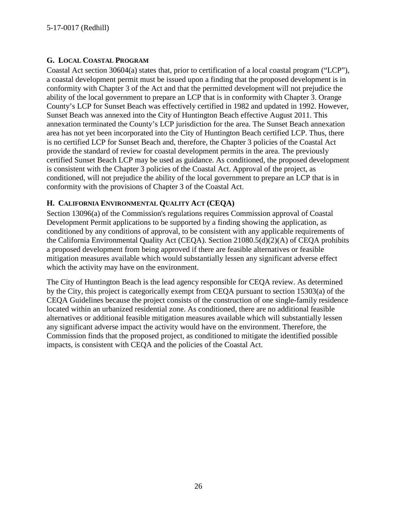## **G. LOCAL COASTAL PROGRAM**

Coastal Act section 30604(a) states that, prior to certification of a local coastal program ("LCP"), a coastal development permit must be issued upon a finding that the proposed development is in conformity with Chapter 3 of the Act and that the permitted development will not prejudice the ability of the local government to prepare an LCP that is in conformity with Chapter 3. Orange County's LCP for Sunset Beach was effectively certified in 1982 and updated in 1992. However, Sunset Beach was annexed into the City of Huntington Beach effective August 2011. This annexation terminated the County's LCP jurisdiction for the area. The Sunset Beach annexation area has not yet been incorporated into the City of Huntington Beach certified LCP. Thus, there is no certified LCP for Sunset Beach and, therefore, the Chapter 3 policies of the Coastal Act provide the standard of review for coastal development permits in the area. The previously certified Sunset Beach LCP may be used as guidance. As conditioned, the proposed development is consistent with the Chapter 3 policies of the Coastal Act. Approval of the project, as conditioned, will not prejudice the ability of the local government to prepare an LCP that is in conformity with the provisions of Chapter 3 of the Coastal Act.

## **H. CALIFORNIA ENVIRONMENTAL QUALITY ACT (CEQA)**

Section 13096(a) of the Commission's regulations requires Commission approval of Coastal Development Permit applications to be supported by a finding showing the application, as conditioned by any conditions of approval, to be consistent with any applicable requirements of the California Environmental Quality Act (CEQA). Section 21080.5(d)(2)(A) of CEQA prohibits a proposed development from being approved if there are feasible alternatives or feasible mitigation measures available which would substantially lessen any significant adverse effect which the activity may have on the environment.

The City of Huntington Beach is the lead agency responsible for CEQA review. As determined by the City, this project is categorically exempt from CEQA pursuant to section 15303(a) of the CEQA Guidelines because the project consists of the construction of one single-family residence located within an urbanized residential zone. As conditioned, there are no additional feasible alternatives or additional feasible mitigation measures available which will substantially lessen any significant adverse impact the activity would have on the environment. Therefore, the Commission finds that the proposed project, as conditioned to mitigate the identified possible impacts, is consistent with CEQA and the policies of the Coastal Act.